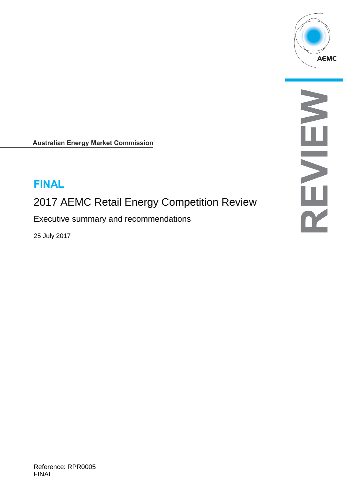

**Australian Energy Market Commission** 

# **FINAL**

# 2017 AEMC Retail Energy Competition Review

Executive summary and recommendations

25 July 2017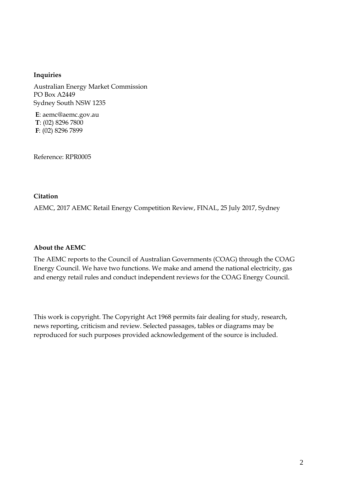#### **Inquiries**

Australian Energy Market Commission PO Box A2449 Sydney South NSW 1235

**E**: aemc@aemc.gov.au **T**: (02) 8296 7800 **F**: (02) 8296 7899

Reference: RPR0005

#### **Citation**

AEMC, 2017 AEMC Retail Energy Competition Review, FINAL, 25 July 2017, Sydney

#### **About the AEMC**

The AEMC reports to the Council of Australian Governments (COAG) through the COAG Energy Council. We have two functions. We make and amend the national electricity, gas and energy retail rules and conduct independent reviews for the COAG Energy Council.

This work is copyright. The Copyright Act 1968 permits fair dealing for study, research, news reporting, criticism and review. Selected passages, tables or diagrams may be reproduced for such purposes provided acknowledgement of the source is included.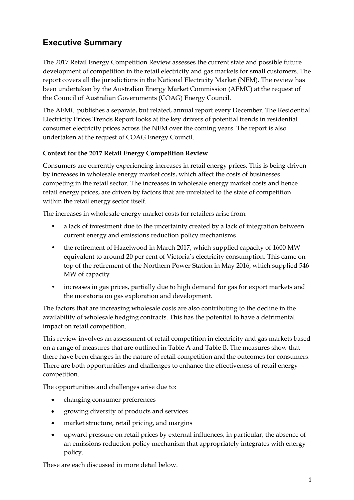# **Executive Summary**

The 2017 Retail Energy Competition Review assesses the current state and possible future development of competition in the retail electricity and gas markets for small customers. The report covers all the jurisdictions in the National Electricity Market (NEM). The review has been undertaken by the Australian Energy Market Commission (AEMC) at the request of the Council of Australian Governments (COAG) Energy Council.

The AEMC publishes a separate, but related, annual report every December. The Residential Electricity Prices Trends Report looks at the key drivers of potential trends in residential consumer electricity prices across the NEM over the coming years. The report is also undertaken at the request of COAG Energy Council.

# **Context for the 2017 Retail Energy Competition Review**

Consumers are currently experiencing increases in retail energy prices. This is being driven by increases in wholesale energy market costs, which affect the costs of businesses competing in the retail sector. The increases in wholesale energy market costs and hence retail energy prices, are driven by factors that are unrelated to the state of competition within the retail energy sector itself.

The increases in wholesale energy market costs for retailers arise from:

- a lack of investment due to the uncertainty created by a lack of integration between current energy and emissions reduction policy mechanisms
- the retirement of Hazelwood in March 2017, which supplied capacity of 1600 MW equivalent to around 20 per cent of Victoria's electricity consumption. This came on top of the retirement of the Northern Power Station in May 2016, which supplied 546 MW of capacity
- increases in gas prices, partially due to high demand for gas for export markets and the moratoria on gas exploration and development.

The factors that are increasing wholesale costs are also contributing to the decline in the availability of wholesale hedging contracts. This has the potential to have a detrimental impact on retail competition.

This review involves an assessment of retail competition in electricity and gas markets based on a range of measures that are outlined in Table A and Table B. The measures show that there have been changes in the nature of retail competition and the outcomes for consumers. There are both opportunities and challenges to enhance the effectiveness of retail energy competition.

The opportunities and challenges arise due to:

- changing consumer preferences
- growing diversity of products and services
- market structure, retail pricing, and margins
- upward pressure on retail prices by external influences, in particular, the absence of an emissions reduction policy mechanism that appropriately integrates with energy policy.

These are each discussed in more detail below.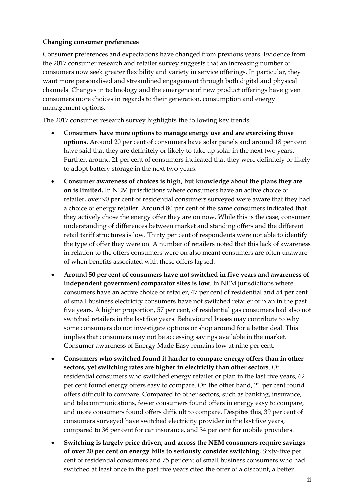## **Changing consumer preferences**

Consumer preferences and expectations have changed from previous years. Evidence from the 2017 consumer research and retailer survey suggests that an increasing number of consumers now seek greater flexibility and variety in service offerings. In particular, they want more personalised and streamlined engagement through both digital and physical channels. Changes in technology and the emergence of new product offerings have given consumers more choices in regards to their generation, consumption and energy management options.

The 2017 consumer research survey highlights the following key trends:

- **Consumers have more options to manage energy use and are exercising those options.** Around 20 per cent of consumers have solar panels and around 18 per cent have said that they are definitely or likely to take up solar in the next two years. Further, around 21 per cent of consumers indicated that they were definitely or likely to adopt battery storage in the next two years.
- **Consumer awareness of choices is high, but knowledge about the plans they are on is limited.** In NEM jurisdictions where consumers have an active choice of retailer, over 90 per cent of residential consumers surveyed were aware that they had a choice of energy retailer. Around 80 per cent of the same consumers indicated that they actively chose the energy offer they are on now. While this is the case, consumer understanding of differences between market and standing offers and the different retail tariff structures is low. Thirty per cent of respondents were not able to identify the type of offer they were on. A number of retailers noted that this lack of awareness in relation to the offers consumers were on also meant consumers are often unaware of when benefits associated with these offers lapsed.
- **Around 50 per cent of consumers have not switched in five years and awareness of independent government comparator sites is low**. In NEM jurisdictions where consumers have an active choice of retailer, 47 per cent of residential and 54 per cent of small business electricity consumers have not switched retailer or plan in the past five years. A higher proportion, 57 per cent, of residential gas consumers had also not switched retailers in the last five years. Behavioural biases may contribute to why some consumers do not investigate options or shop around for a better deal. This implies that consumers may not be accessing savings available in the market. Consumer awareness of Energy Made Easy remains low at nine per cent.
- **Consumers who switched found it harder to compare energy offers than in other sectors, yet switching rates are higher in electricity than other sectors**. Of residential consumers who switched energy retailer or plan in the last five years, 62 per cent found energy offers easy to compare. On the other hand, 21 per cent found offers difficult to compare. Compared to other sectors, such as banking, insurance, and telecommunications, fewer consumers found offers in energy easy to compare, and more consumers found offers difficult to compare. Despites this, 39 per cent of consumers surveyed have switched electricity provider in the last five years, compared to 36 per cent for car insurance, and 34 per cent for mobile providers.
- **Switching is largely price driven, and across the NEM consumers require savings of over 20 per cent on energy bills to seriously consider switching.** Sixty-five per cent of residential consumers and 75 per cent of small business consumers who had switched at least once in the past five years cited the offer of a discount, a better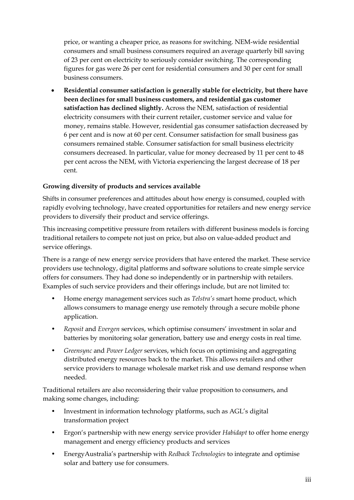price, or wanting a cheaper price, as reasons for switching. NEM-wide residential consumers and small business consumers required an average quarterly bill saving of 23 per cent on electricity to seriously consider switching. The corresponding figures for gas were 26 per cent for residential consumers and 30 per cent for small business consumers.

 **Residential consumer satisfaction is generally stable for electricity, but there have been declines for small business customers, and residential gas customer satisfaction has declined slightly.** Across the NEM, satisfaction of residential electricity consumers with their current retailer, customer service and value for money, remains stable. However, residential gas consumer satisfaction decreased by 6 per cent and is now at 60 per cent. Consumer satisfaction for small business gas consumers remained stable. Consumer satisfaction for small business electricity consumers decreased. In particular, value for money decreased by 11 per cent to 48 per cent across the NEM, with Victoria experiencing the largest decrease of 18 per cent.

## **Growing diversity of products and services available**

Shifts in consumer preferences and attitudes about how energy is consumed, coupled with rapidly evolving technology, have created opportunities for retailers and new energy service providers to diversify their product and service offerings.

This increasing competitive pressure from retailers with different business models is forcing traditional retailers to compete not just on price, but also on value-added product and service offerings.

There is a range of new energy service providers that have entered the market. These service providers use technology, digital platforms and software solutions to create simple service offers for consumers. They had done so independently or in partnership with retailers. Examples of such service providers and their offerings include, but are not limited to:

- Home energy management services such as *Telstra's* smart home product, which allows consumers to manage energy use remotely through a secure mobile phone application.
- *Reposit* and *Evergen* services, which optimise consumers' investment in solar and batteries by monitoring solar generation, battery use and energy costs in real time.
- *Greensync* and *Power Ledger* services, which focus on optimising and aggregating distributed energy resources back to the market. This allows retailers and other service providers to manage wholesale market risk and use demand response when needed.

Traditional retailers are also reconsidering their value proposition to consumers, and making some changes, including:

- Investment in information technology platforms, such as AGL's digital transformation project
- Ergon's partnership with new energy service provider *Habidapt* to offer home energy management and energy efficiency products and services
- EnergyAustralia's partnership with *Redback Technologies* to integrate and optimise solar and battery use for consumers.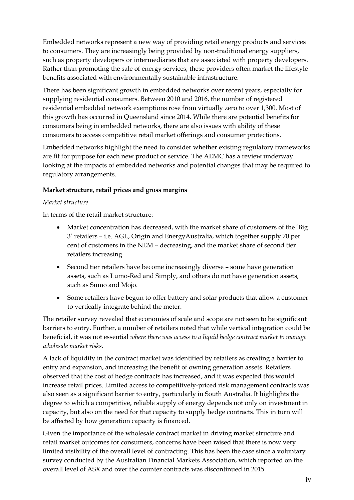Embedded networks represent a new way of providing retail energy products and services to consumers. They are increasingly being provided by non-traditional energy suppliers, such as property developers or intermediaries that are associated with property developers. Rather than promoting the sale of energy services, these providers often market the lifestyle benefits associated with environmentally sustainable infrastructure.

There has been significant growth in embedded networks over recent years, especially for supplying residential consumers. Between 2010 and 2016, the number of registered residential embedded network exemptions rose from virtually zero to over 1,300. Most of this growth has occurred in Queensland since 2014. While there are potential benefits for consumers being in embedded networks, there are also issues with ability of these consumers to access competitive retail market offerings and consumer protections.

Embedded networks highlight the need to consider whether existing regulatory frameworks are fit for purpose for each new product or service. The AEMC has a review underway looking at the impacts of embedded networks and potential changes that may be required to regulatory arrangements.

#### **Market structure, retail prices and gross margins**

#### *Market structure*

In terms of the retail market structure:

- Market concentration has decreased, with the market share of customers of the 'Big 3' retailers – i.e. AGL, Origin and EnergyAustralia, which together supply 70 per cent of customers in the NEM – decreasing, and the market share of second tier retailers increasing.
- Second tier retailers have become increasingly diverse some have generation assets, such as Lumo-Red and Simply, and others do not have generation assets, such as Sumo and Mojo.
- Some retailers have begun to offer battery and solar products that allow a customer to vertically integrate behind the meter.

The retailer survey revealed that economies of scale and scope are not seen to be significant barriers to entry. Further, a number of retailers noted that while vertical integration could be beneficial, it was not essential *where there was access to a liquid hedge contract market to manage wholesale market risks*.

A lack of liquidity in the contract market was identified by retailers as creating a barrier to entry and expansion, and increasing the benefit of owning generation assets. Retailers observed that the cost of hedge contracts has increased, and it was expected this would increase retail prices. Limited access to competitively-priced risk management contracts was also seen as a significant barrier to entry, particularly in South Australia. It highlights the degree to which a competitive, reliable supply of energy depends not only on investment in capacity, but also on the need for that capacity to supply hedge contracts. This in turn will be affected by how generation capacity is financed.

Given the importance of the wholesale contract market in driving market structure and retail market outcomes for consumers, concerns have been raised that there is now very limited visibility of the overall level of contracting. This has been the case since a voluntary survey conducted by the Australian Financial Markets Association, which reported on the overall level of ASX and over the counter contracts was discontinued in 2015.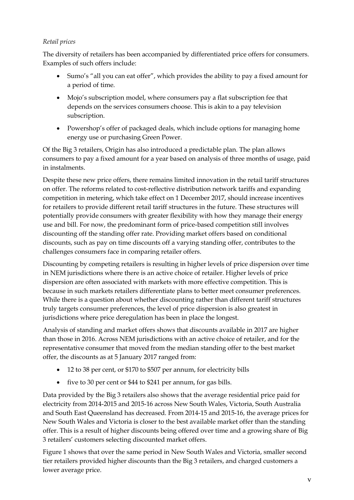# *Retail prices*

The diversity of retailers has been accompanied by differentiated price offers for consumers. Examples of such offers include:

- Sumo's "all you can eat offer", which provides the ability to pay a fixed amount for a period of time.
- Mojo's subscription model, where consumers pay a flat subscription fee that depends on the services consumers choose. This is akin to a pay television subscription.
- Powershop's offer of packaged deals, which include options for managing home energy use or purchasing Green Power.

Of the Big 3 retailers, Origin has also introduced a predictable plan. The plan allows consumers to pay a fixed amount for a year based on analysis of three months of usage, paid in instalments.

Despite these new price offers, there remains limited innovation in the retail tariff structures on offer. The reforms related to cost-reflective distribution network tariffs and expanding competition in metering, which take effect on 1 December 2017, should increase incentives for retailers to provide different retail tariff structures in the future. These structures will potentially provide consumers with greater flexibility with how they manage their energy use and bill. For now, the predominant form of price-based competition still involves discounting off the standing offer rate. Providing market offers based on conditional discounts, such as pay on time discounts off a varying standing offer, contributes to the challenges consumers face in comparing retailer offers.

Discounting by competing retailers is resulting in higher levels of price dispersion over time in NEM jurisdictions where there is an active choice of retailer. Higher levels of price dispersion are often associated with markets with more effective competition. This is because in such markets retailers differentiate plans to better meet consumer preferences. While there is a question about whether discounting rather than different tariff structures truly targets consumer preferences, the level of price dispersion is also greatest in jurisdictions where price deregulation has been in place the longest.

Analysis of standing and market offers shows that discounts available in 2017 are higher than those in 2016. Across NEM jurisdictions with an active choice of retailer, and for the representative consumer that moved from the median standing offer to the best market offer, the discounts as at 5 January 2017 ranged from:

- 12 to 38 per cent, or \$170 to \$507 per annum, for electricity bills
- five to 30 per cent or \$44 to \$241 per annum, for gas bills.

Data provided by the Big 3 retailers also shows that the average residential price paid for electricity from 2014-2015 and 2015-16 across New South Wales, Victoria, South Australia and South East Queensland has decreased. From 2014-15 and 2015-16, the average prices for New South Wales and Victoria is closer to the best available market offer than the standing offer. This is a result of higher discounts being offered over time and a growing share of Big 3 retailers' customers selecting discounted market offers.

Figure 1 shows that over the same period in New South Wales and Victoria, smaller second tier retailers provided higher discounts than the Big 3 retailers, and charged customers a lower average price.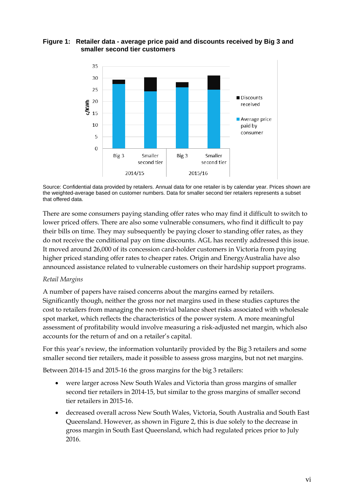#### **Figure 1: Retailer data - average price paid and discounts received by Big 3 and smaller second tier customers**



Source: Confidential data provided by retailers. Annual data for one retailer is by calendar year. Prices shown are the weighted-average based on customer numbers. Data for smaller second tier retailers represents a subset that offered data.

There are some consumers paying standing offer rates who may find it difficult to switch to lower priced offers. There are also some vulnerable consumers, who find it difficult to pay their bills on time. They may subsequently be paying closer to standing offer rates, as they do not receive the conditional pay on time discounts. AGL has recently addressed this issue. It moved around 26,000 of its concession card-holder customers in Victoria from paying higher priced standing offer rates to cheaper rates. Origin and EnergyAustralia have also announced assistance related to vulnerable customers on their hardship support programs.

## *Retail Margins*

A number of papers have raised concerns about the margins earned by retailers. Significantly though, neither the gross nor net margins used in these studies captures the cost to retailers from managing the non-trivial balance sheet risks associated with wholesale spot market, which reflects the characteristics of the power system. A more meaningful assessment of profitability would involve measuring a risk-adjusted net margin, which also accounts for the return of and on a retailer's capital.

For this year's review, the information voluntarily provided by the Big 3 retailers and some smaller second tier retailers, made it possible to assess gross margins, but not net margins.

Between 2014-15 and 2015-16 the gross margins for the big 3 retailers:

- were larger across New South Wales and Victoria than gross margins of smaller second tier retailers in 2014-15, but similar to the gross margins of smaller second tier retailers in 2015-16.
- decreased overall across New South Wales, Victoria, South Australia and South East Queensland. However, as shown in Figure 2, this is due solely to the decrease in gross margin in South East Queensland, which had regulated prices prior to July 2016.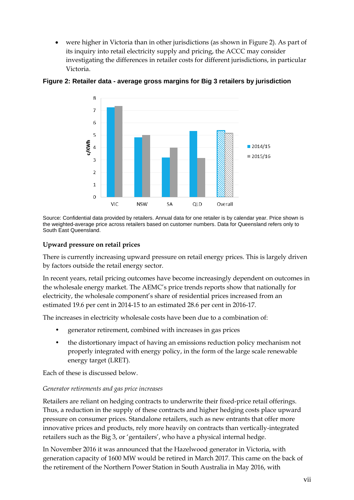were higher in Victoria than in other jurisdictions (as shown in Figure 2). As part of its inquiry into retail electricity supply and pricing, the ACCC may consider investigating the differences in retailer costs for different jurisdictions, in particular Victoria.



**Figure 2: Retailer data - average gross margins for Big 3 retailers by jurisdiction**

Source: Confidential data provided by retailers. Annual data for one retailer is by calendar year. Price shown is the weighted-average price across retailers based on customer numbers. Data for Queensland refers only to South East Queensland.

#### **Upward pressure on retail prices**

There is currently increasing upward pressure on retail energy prices. This is largely driven by factors outside the retail energy sector.

In recent years, retail pricing outcomes have become increasingly dependent on outcomes in the wholesale energy market. The AEMC's price trends reports show that nationally for electricity, the wholesale component's share of residential prices increased from an estimated 19.6 per cent in 2014-15 to an estimated 28.6 per cent in 2016-17.

The increases in electricity wholesale costs have been due to a combination of:

- generator retirement, combined with increases in gas prices
- the distortionary impact of having an emissions reduction policy mechanism not properly integrated with energy policy, in the form of the large scale renewable energy target (LRET).

Each of these is discussed below.

#### *Generator retirements and gas price increases*

Retailers are reliant on hedging contracts to underwrite their fixed-price retail offerings. Thus, a reduction in the supply of these contracts and higher hedging costs place upward pressure on consumer prices. Standalone retailers, such as new entrants that offer more innovative prices and products, rely more heavily on contracts than vertically-integrated retailers such as the Big 3, or 'gentailers', who have a physical internal hedge.

In November 2016 it was announced that the Hazelwood generator in Victoria, with generation capacity of 1600 MW would be retired in March 2017. This came on the back of the retirement of the Northern Power Station in South Australia in May 2016, with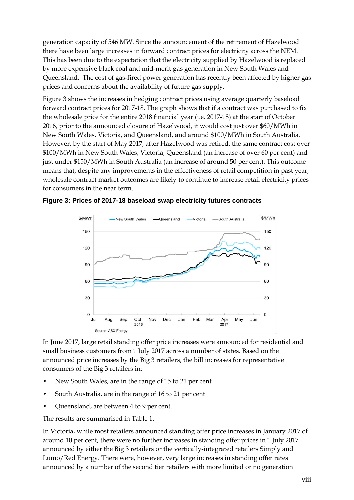generation capacity of 546 MW. Since the announcement of the retirement of Hazelwood there have been large increases in forward contract prices for electricity across the NEM. This has been due to the expectation that the electricity supplied by Hazelwood is replaced by more expensive black coal and mid-merit gas generation in New South Wales and Queensland. The cost of gas-fired power generation has recently been affected by higher gas prices and concerns about the availability of future gas supply.

Figure 3 shows the increases in hedging contract prices using average quarterly baseload forward contract prices for 2017-18. The graph shows that if a contract was purchased to fix the wholesale price for the entire 2018 financial year (i.e. 2017-18) at the start of October 2016, prior to the announced closure of Hazelwood, it would cost just over \$60/MWh in New South Wales, Victoria, and Queensland, and around \$100/MWh in South Australia. However, by the start of May 2017, after Hazelwood was retired, the same contract cost over \$100/MWh in New South Wales, Victoria, Queensland (an increase of over 60 per cent) and just under \$150/MWh in South Australia (an increase of around 50 per cent). This outcome means that, despite any improvements in the effectiveness of retail competition in past year, wholesale contract market outcomes are likely to continue to increase retail electricity prices for consumers in the near term.



**Figure 3: Prices of 2017-18 baseload swap electricity futures contracts**

In June 2017, large retail standing offer price increases were announced for residential and small business customers from 1 July 2017 across a number of states. Based on the announced price increases by the Big 3 retailers, the bill increases for representative consumers of the Big 3 retailers in:

- New South Wales, are in the range of 15 to 21 per cent
- South Australia, are in the range of 16 to 21 per cent
- Queensland, are between 4 to 9 per cent.

The results are summarised in Table 1.

In Victoria, while most retailers announced standing offer price increases in January 2017 of around 10 per cent, there were no further increases in standing offer prices in 1 July 2017 announced by either the Big 3 retailers or the vertically-integrated retailers Simply and Lumo/Red Energy. There were, however, very large increases in standing offer rates announced by a number of the second tier retailers with more limited or no generation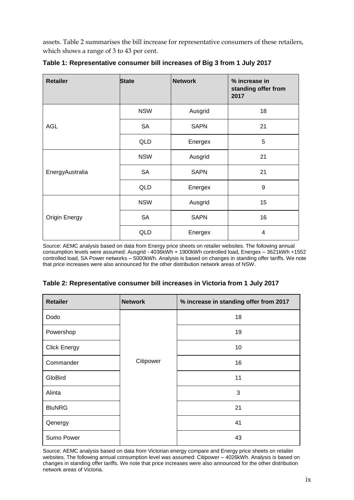assets. Table 2 summarises the bill increase for representative consumers of these retailers, which shows a range of 3 to 43 per cent.

| <b>Retailer</b>      | <b>State</b> | <b>Network</b> | % increase in<br>standing offer from<br>2017 |
|----------------------|--------------|----------------|----------------------------------------------|
|                      | <b>NSW</b>   | Ausgrid        | 18                                           |
| <b>AGL</b>           | <b>SA</b>    | <b>SAPN</b>    | 21                                           |
|                      | QLD          | Energex        | 5                                            |
|                      | <b>NSW</b>   | Ausgrid        | 21                                           |
| EnergyAustralia      | <b>SA</b>    | <b>SAPN</b>    | 21                                           |
|                      | QLD          | Energex        | 9                                            |
|                      | <b>NSW</b>   | Ausgrid        | 15                                           |
| <b>Origin Energy</b> | <b>SA</b>    | <b>SAPN</b>    | 16                                           |
|                      | <b>QLD</b>   | Energex        | 4                                            |

**Table 1: Representative consumer bill increases of Big 3 from 1 July 2017**

Source: AEMC analysis based on data from Energy price sheets on retailer websites. The following annual consumption levels were assumed: Ausgrid - 4036kWh + 1900kWh controlled load, Energex – 3621kWh +1552 controlled load, SA Power networks – 5000kWh. Analysis is based on changes in standing offer tariffs. We note that price increases were also announced for the other distribution network areas of NSW.

|  |  | Table 2: Representative consumer bill increases in Victoria from 1 July 2017 |
|--|--|------------------------------------------------------------------------------|
|--|--|------------------------------------------------------------------------------|

| <b>Retailer</b>     | <b>Network</b> | % increase in standing offer from 2017 |
|---------------------|----------------|----------------------------------------|
| Dodo                |                | 18                                     |
| Powershop           |                | 19                                     |
| <b>Click Energy</b> |                | 10                                     |
| Commander           | Citipower      | 16                                     |
| GloBird             |                | 11                                     |
| Alinta              |                | 3                                      |
| <b>BluNRG</b>       |                | 21                                     |
| Qenergy             |                | 41                                     |
| Sumo Power          |                | 43                                     |

Source: AEMC analysis based on data from Victorian energy compare and Energy price sheets on retailer websites. The following annual consumption level was assumed: Citipower – 4026kWh. Analysis is based on changes in standing offer tariffs. We note that price increases were also announced for the other distribution network areas of Victoria.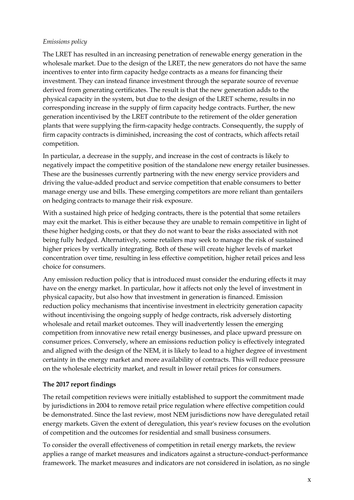## *Emissions policy*

The LRET has resulted in an increasing penetration of renewable energy generation in the wholesale market. Due to the design of the LRET, the new generators do not have the same incentives to enter into firm capacity hedge contracts as a means for financing their investment. They can instead finance investment through the separate source of revenue derived from generating certificates. The result is that the new generation adds to the physical capacity in the system, but due to the design of the LRET scheme, results in no corresponding increase in the supply of firm capacity hedge contracts. Further, the new generation incentivised by the LRET contribute to the retirement of the older generation plants that were supplying the firm-capacity hedge contracts. Consequently, the supply of firm capacity contracts is diminished, increasing the cost of contracts, which affects retail competition.

In particular, a decrease in the supply, and increase in the cost of contracts is likely to negatively impact the competitive position of the standalone new energy retailer businesses. These are the businesses currently partnering with the new energy service providers and driving the value-added product and service competition that enable consumers to better manage energy use and bills. These emerging competitors are more reliant than gentailers on hedging contracts to manage their risk exposure.

With a sustained high price of hedging contracts, there is the potential that some retailers may exit the market. This is either because they are unable to remain competitive in light of these higher hedging costs, or that they do not want to bear the risks associated with not being fully hedged. Alternatively, some retailers may seek to manage the risk of sustained higher prices by vertically integrating. Both of these will create higher levels of market concentration over time, resulting in less effective competition, higher retail prices and less choice for consumers.

Any emission reduction policy that is introduced must consider the enduring effects it may have on the energy market. In particular, how it affects not only the level of investment in physical capacity, but also how that investment in generation is financed. Emission reduction policy mechanisms that incentivise investment in electricity generation capacity without incentivising the ongoing supply of hedge contracts, risk adversely distorting wholesale and retail market outcomes. They will inadvertently lessen the emerging competition from innovative new retail energy businesses, and place upward pressure on consumer prices. Conversely, where an emissions reduction policy is effectively integrated and aligned with the design of the NEM, it is likely to lead to a higher degree of investment certainty in the energy market and more availability of contracts. This will reduce pressure on the wholesale electricity market, and result in lower retail prices for consumers.

## **The 2017 report findings**

The retail competition reviews were initially established to support the commitment made by jurisdictions in 2004 to remove retail price regulation where effective competition could be demonstrated. Since the last review, most NEM jurisdictions now have deregulated retail energy markets. Given the extent of deregulation, this year's review focuses on the evolution of competition and the outcomes for residential and small business consumers.

To consider the overall effectiveness of competition in retail energy markets, the review applies a range of market measures and indicators against a structure-conduct-performance framework. The market measures and indicators are not considered in isolation, as no single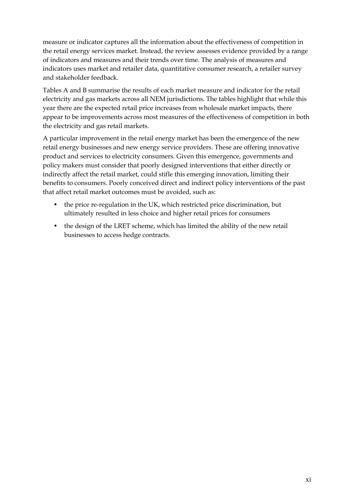measure or indicator captures all the information about the effectiveness of competition in the retail energy services market. Instead, the review assesses evidence provided by a range of indicators and measures and their trends over time. The analysis of measures and indicators uses market and retailer data, quantitative consumer research, a retailer survey and stakeholder feedback.

Tables A and B summarise the results of each market measure and indicator for the retail electricity and gas markets across all NEM jurisdictions. The tables highlight that while this year there are the expected retail price increases from wholesale market impacts, there appear to be improvements across most measures of the effectiveness of competition in both the electricity and gas retail markets.

A particular improvement in the retail energy market has been the emergence of the new retail energy businesses and new energy service providers. These are offering innovative product and services to electricity consumers. Given this emergence, governments and policy makers must consider that poorly designed interventions that either directly or indirectly affect the retail market, could stifle this emerging innovation, limiting their benefits to consumers. Poorly conceived direct and indirect policy interventions of the past that affect retail market outcomes must be avoided, such as:

- the price re-regulation in the UK, which restricted price discrimination, but ultimately resulted in less choice and higher retail prices for consumers
- the design of the LRET scheme, which has limited the ability of the new retail businesses to access hedge contracts.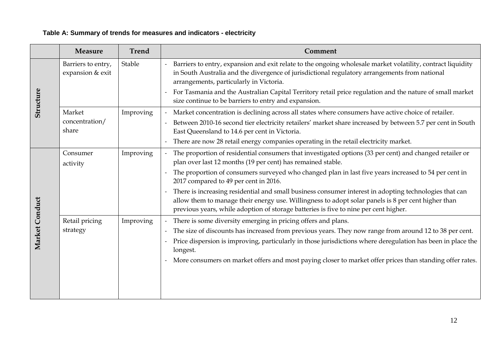# **Table A: Summary of trends for measures and indicators - electricity**

|                | <b>Measure</b>                         | <b>Trend</b> | Comment                                                                                                                                                                                                                                                                                                                                                                                                                                                                                                                                                                                                                         |
|----------------|----------------------------------------|--------------|---------------------------------------------------------------------------------------------------------------------------------------------------------------------------------------------------------------------------------------------------------------------------------------------------------------------------------------------------------------------------------------------------------------------------------------------------------------------------------------------------------------------------------------------------------------------------------------------------------------------------------|
|                | Barriers to entry,<br>expansion & exit | Stable       | Barriers to entry, expansion and exit relate to the ongoing wholesale market volatility, contract liquidity<br>in South Australia and the divergence of jurisdictional regulatory arrangements from national<br>arrangements, particularly in Victoria.<br>For Tasmania and the Australian Capital Territory retail price regulation and the nature of small market<br>size continue to be barriers to entry and expansion.                                                                                                                                                                                                     |
| Structure      | Market<br>concentration/<br>share      | Improving    | Market concentration is declining across all states where consumers have active choice of retailer.<br>Between 2010-16 second tier electricity retailers' market share increased by between 5.7 per cent in South<br>East Queensland to 14.6 per cent in Victoria.<br>There are now 28 retail energy companies operating in the retail electricity market.                                                                                                                                                                                                                                                                      |
|                | Consumer<br>activity                   | Improving    | The proportion of residential consumers that investigated options (33 per cent) and changed retailer or<br>plan over last 12 months (19 per cent) has remained stable.<br>The proportion of consumers surveyed who changed plan in last five years increased to 54 per cent in<br>2017 compared to 49 per cent in 2016.<br>There is increasing residential and small business consumer interest in adopting technologies that can<br>allow them to manage their energy use. Willingness to adopt solar panels is 8 per cent higher than<br>previous years, while adoption of storage batteries is five to nine per cent higher. |
| Market Conduct | Retail pricing<br>strategy             | Improving    | There is some diversity emerging in pricing offers and plans.<br>The size of discounts has increased from previous years. They now range from around 12 to 38 per cent.<br>Price dispersion is improving, particularly in those jurisdictions where deregulation has been in place the<br>longest.<br>More consumers on market offers and most paying closer to market offer prices than standing offer rates.                                                                                                                                                                                                                  |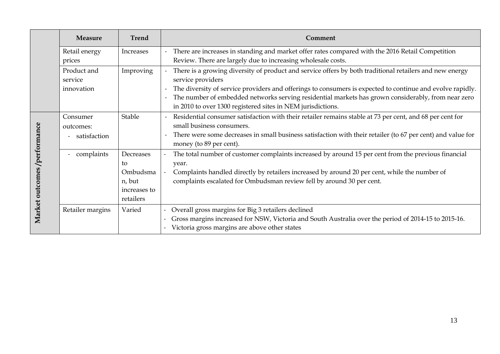|                              | <b>Measure</b>                        | <b>Trend</b>                                                       | Comment                                                                                                                                                                                                                                                                                                                                                                                                        |
|------------------------------|---------------------------------------|--------------------------------------------------------------------|----------------------------------------------------------------------------------------------------------------------------------------------------------------------------------------------------------------------------------------------------------------------------------------------------------------------------------------------------------------------------------------------------------------|
|                              | Retail energy<br>prices               | Increases                                                          | There are increases in standing and market offer rates compared with the 2016 Retail Competition<br>Review. There are largely due to increasing wholesale costs.                                                                                                                                                                                                                                               |
|                              | Product and<br>service<br>innovation  | Improving                                                          | There is a growing diversity of product and service offers by both traditional retailers and new energy<br>service providers<br>The diversity of service providers and offerings to consumers is expected to continue and evolve rapidly.<br>The number of embedded networks serving residential markets has grown considerably, from near zero<br>in 2010 to over 1300 registered sites in NEM jurisdictions. |
| Market outcomes /performance | Consumer<br>outcomes:<br>satisfaction | Stable                                                             | Residential consumer satisfaction with their retailer remains stable at 73 per cent, and 68 per cent for<br>small business consumers.<br>There were some decreases in small business satisfaction with their retailer (to 67 per cent) and value for<br>money (to 89 per cent).                                                                                                                                |
|                              | complaints                            | Decreases<br>to<br>Ombudsma<br>n, but<br>increases to<br>retailers | The total number of customer complaints increased by around 15 per cent from the previous financial<br>year.<br>Complaints handled directly by retailers increased by around 20 per cent, while the number of<br>complaints escalated for Ombudsman review fell by around 30 per cent.                                                                                                                         |
|                              | Retailer margins                      | Varied                                                             | Overall gross margins for Big 3 retailers declined<br>Gross margins increased for NSW, Victoria and South Australia over the period of 2014-15 to 2015-16.<br>Victoria gross margins are above other states                                                                                                                                                                                                    |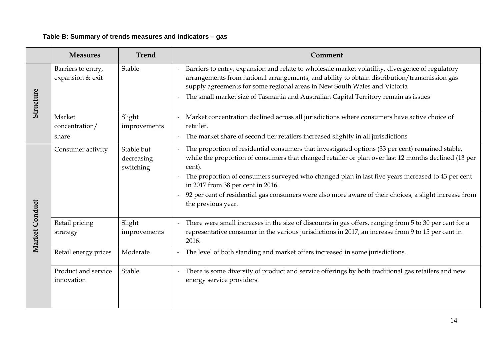# **Table B: Summary of trends measures and indicators – gas**

|                | <b>Measures</b>                        | <b>Trend</b>                          | Comment                                                                                                                                                                                                                                                                                                                                                                                                                                                                                      |
|----------------|----------------------------------------|---------------------------------------|----------------------------------------------------------------------------------------------------------------------------------------------------------------------------------------------------------------------------------------------------------------------------------------------------------------------------------------------------------------------------------------------------------------------------------------------------------------------------------------------|
| Structure      | Barriers to entry,<br>expansion & exit | Stable                                | Barriers to entry, expansion and relate to wholesale market volatility, divergence of regulatory<br>arrangements from national arrangements, and ability to obtain distribution/transmission gas<br>supply agreements for some regional areas in New South Wales and Victoria<br>The small market size of Tasmania and Australian Capital Territory remain as issues                                                                                                                         |
|                | Market<br>concentration/<br>share      | Slight<br>improvements                | Market concentration declined across all jurisdictions where consumers have active choice of<br>retailer.<br>The market share of second tier retailers increased slightly in all jurisdictions                                                                                                                                                                                                                                                                                               |
|                | Consumer activity                      | Stable but<br>decreasing<br>switching | The proportion of residential consumers that investigated options (33 per cent) remained stable,<br>while the proportion of consumers that changed retailer or plan over last 12 months declined (13 per<br>cent).<br>The proportion of consumers surveyed who changed plan in last five years increased to 43 per cent<br>in 2017 from 38 per cent in 2016.<br>92 per cent of residential gas consumers were also more aware of their choices, a slight increase from<br>the previous year. |
| Market Conduct | Retail pricing<br>strategy             | Slight<br>improvements                | There were small increases in the size of discounts in gas offers, ranging from 5 to 30 per cent for a<br>representative consumer in the various jurisdictions in 2017, an increase from 9 to 15 per cent in<br>2016.                                                                                                                                                                                                                                                                        |
|                | Retail energy prices                   | Moderate                              | The level of both standing and market offers increased in some jurisdictions.                                                                                                                                                                                                                                                                                                                                                                                                                |
|                | Product and service<br>innovation      | Stable                                | There is some diversity of product and service offerings by both traditional gas retailers and new<br>energy service providers.                                                                                                                                                                                                                                                                                                                                                              |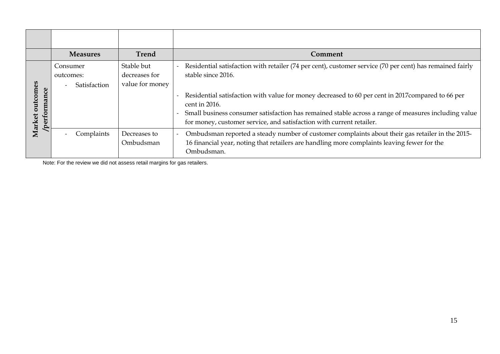|                                                                                                                                                                               | <b>Measures</b> | <b>Trend</b>              | <b>Comment</b>                                                                                                                                                                                                                                                                                                                                                                              |
|-------------------------------------------------------------------------------------------------------------------------------------------------------------------------------|-----------------|---------------------------|---------------------------------------------------------------------------------------------------------------------------------------------------------------------------------------------------------------------------------------------------------------------------------------------------------------------------------------------------------------------------------------------|
| Stable but<br>Consumer<br>$\sim$<br>stable since 2016.<br>decreases for<br>outcomes:<br>outcomes<br>value for money<br>Satisfaction<br>performance<br>cent in 2016.<br>Market |                 |                           | Residential satisfaction with retailer (74 per cent), customer service (70 per cent) has remained fairly<br>Residential satisfaction with value for money decreased to 60 per cent in 2017compared to 66 per<br>Small business consumer satisfaction has remained stable across a range of measures including value<br>for money, customer service, and satisfaction with current retailer. |
|                                                                                                                                                                               | Complaints      | Decreases to<br>Ombudsman | Ombudsman reported a steady number of customer complaints about their gas retailer in the 2015-<br>16 financial year, noting that retailers are handling more complaints leaving fewer for the<br>Ombudsman.                                                                                                                                                                                |

Note: For the review we did not assess retail margins for gas retailers.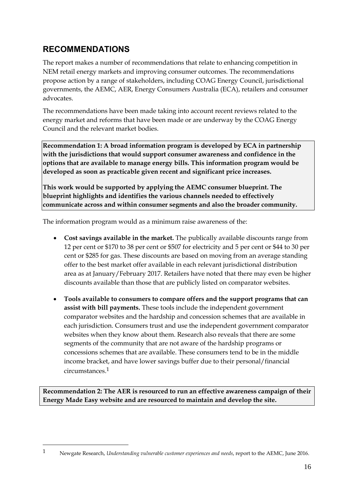# **RECOMMENDATIONS**

1

The report makes a number of recommendations that relate to enhancing competition in NEM retail energy markets and improving consumer outcomes. The recommendations propose action by a range of stakeholders, including COAG Energy Council, jurisdictional governments, the AEMC, AER, Energy Consumers Australia (ECA), retailers and consumer advocates.

The recommendations have been made taking into account recent reviews related to the energy market and reforms that have been made or are underway by the COAG Energy Council and the relevant market bodies.

**Recommendation 1: A broad information program is developed by ECA in partnership with the jurisdictions that would support consumer awareness and confidence in the options that are available to manage energy bills. This information program would be developed as soon as practicable given recent and significant price increases.** 

**This work would be supported by applying the AEMC consumer blueprint. The blueprint highlights and identifies the various channels needed to effectively communicate across and within consumer segments and also the broader community.** 

The information program would as a minimum raise awareness of the:

- **Cost savings available in the market.** The publically available discounts range from 12 per cent or \$170 to 38 per cent or \$507 for electricity and 5 per cent or \$44 to 30 per cent or \$285 for gas. These discounts are based on moving from an average standing offer to the best market offer available in each relevant jurisdictional distribution area as at January/February 2017. Retailers have noted that there may even be higher discounts available than those that are publicly listed on comparator websites.
- **Tools available to consumers to compare offers and the support programs that can assist with bill payments.** These tools include the independent government comparator websites and the hardship and concession schemes that are available in each jurisdiction. Consumers trust and use the independent government comparator websites when they know about them. Research also reveals that there are some segments of the community that are not aware of the hardship programs or concessions schemes that are available. These consumers tend to be in the middle income bracket, and have lower savings buffer due to their personal/financial circumstances.1

**Recommendation 2: The AER is resourced to run an effective awareness campaign of their Energy Made Easy website and are resourced to maintain and develop the site.**

<sup>1</sup> Newgate Research, *Understanding vulnerable customer experiences and needs*, report to the AEMC, June 2016.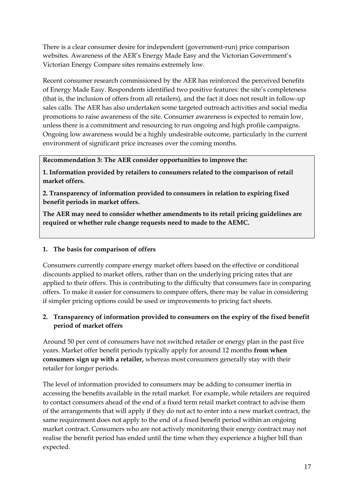There is a clear consumer desire for independent (government-run) price comparison websites. Awareness of the AER's Energy Made Easy and the Victorian Government's Victorian Energy Compare sites remains extremely low.

Recent consumer research commissioned by the AER has reinforced the perceived benefits of Energy Made Easy. Respondents identified two positive features: the site's completeness (that is, the inclusion of offers from all retailers), and the fact it does not result in follow-up sales calls. The AER has also undertaken some targeted outreach activities and social media promotions to raise awareness of the site. Consumer awareness is expected to remain low, unless there is a commitment and resourcing to run ongoing and high profile campaigns. Ongoing low awareness would be a highly undesirable outcome, particularly in the current environment of significant price increases over the coming months.

**Recommendation 3: The AER consider opportunities to improve the:**

**1. Information provided by retailers to consumers related to the comparison of retail market offers.** 

**2. Transparency of information provided to consumers in relation to expiring fixed benefit periods in market offers.** 

**The AER may need to consider whether amendments to its retail pricing guidelines are required or whether rule change requests need to made to the AEMC.** 

## **1. The basis for comparison of offers**

Consumers currently compare energy market offers based on the effective or conditional discounts applied to market offers, rather than on the underlying pricing rates that are applied to their offers. This is contributing to the difficulty that consumers face in comparing offers. To make it easier for consumers to compare offers, there may be value in considering if simpler pricing options could be used or improvements to pricing fact sheets.

# **2. Transparency of information provided to consumers on the expiry of the fixed benefit period of market offers**

Around 50 per cent of consumers have not switched retailer or energy plan in the past five years. Market offer benefit periods typically apply for around 12 months **from when consumers sign up with a retailer,** whereas most consumers generally stay with their retailer for longer periods.

The level of information provided to consumers may be adding to consumer inertia in accessing the benefits available in the retail market. For example, while retailers are required to contact consumers ahead of the end of a fixed term retail market contract to advise them of the arrangements that will apply if they do not act to enter into a new market contract, the same requirement does not apply to the end of a fixed benefit period within an ongoing market contract. Consumers who are not actively monitoring their energy contract may not realise the benefit period has ended until the time when they experience a higher bill than expected.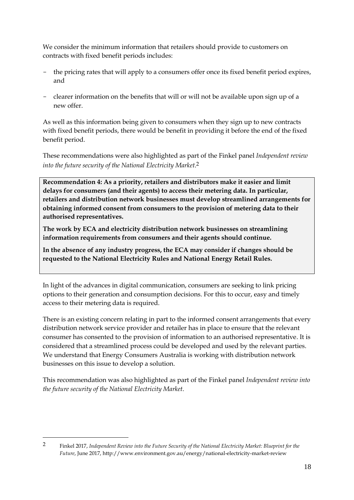We consider the minimum information that retailers should provide to customers on contracts with fixed benefit periods includes:

- the pricing rates that will apply to a consumers offer once its fixed benefit period expires, and
- clearer information on the benefits that will or will not be available upon sign up of a new offer.

As well as this information being given to consumers when they sign up to new contracts with fixed benefit periods, there would be benefit in providing it before the end of the fixed benefit period.

These recommendations were also highlighted as part of the Finkel panel *Independent review into the future security of the National Electricity Market*. 2

**Recommendation 4: As a priority, retailers and distributors make it easier and limit delays for consumers (and their agents) to access their metering data. In particular, retailers and distribution network businesses must develop streamlined arrangements for obtaining informed consent from consumers to the provision of metering data to their authorised representatives.** 

**The work by ECA and electricity distribution network businesses on streamlining information requirements from consumers and their agents should continue.** 

**In the absence of any industry progress, the ECA may consider if changes should be requested to the National Electricity Rules and National Energy Retail Rules.** 

In light of the advances in digital communication, consumers are seeking to link pricing options to their generation and consumption decisions. For this to occur, easy and timely access to their metering data is required.

There is an existing concern relating in part to the informed consent arrangements that every distribution network service provider and retailer has in place to ensure that the relevant consumer has consented to the provision of information to an authorised representative. It is considered that a streamlined process could be developed and used by the relevant parties. We understand that Energy Consumers Australia is working with distribution network businesses on this issue to develop a solution.

This recommendation was also highlighted as part of the Finkel panel *Independent review into the future security of the National Electricity Market*.

1

<sup>2</sup> Finkel 2017, *Independent Review into the Future Security of the National Electricity Market: Blueprint for the Future*, June 2017, http://www.environment.gov.au/energy/national-electricity-market-review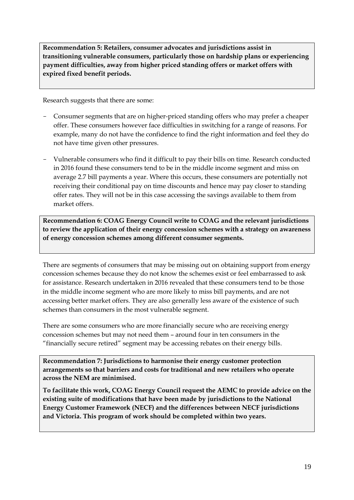**Recommendation 5: Retailers, consumer advocates and jurisdictions assist in transitioning vulnerable consumers, particularly those on hardship plans or experiencing payment difficulties, away from higher priced standing offers or market offers with expired fixed benefit periods.** 

Research suggests that there are some:

- Consumer segments that are on higher-priced standing offers who may prefer a cheaper offer. These consumers however face difficulties in switching for a range of reasons. For example, many do not have the confidence to find the right information and feel they do not have time given other pressures.
- Vulnerable consumers who find it difficult to pay their bills on time. Research conducted in 2016 found these consumers tend to be in the middle income segment and miss on average 2.7 bill payments a year. Where this occurs, these consumers are potentially not receiving their conditional pay on time discounts and hence may pay closer to standing offer rates. They will not be in this case accessing the savings available to them from market offers.

**Recommendation 6: COAG Energy Council write to COAG and the relevant jurisdictions to review the application of their energy concession schemes with a strategy on awareness of energy concession schemes among different consumer segments.** 

There are segments of consumers that may be missing out on obtaining support from energy concession schemes because they do not know the schemes exist or feel embarrassed to ask for assistance. Research undertaken in 2016 revealed that these consumers tend to be those in the middle income segment who are more likely to miss bill payments, and are not accessing better market offers. They are also generally less aware of the existence of such schemes than consumers in the most vulnerable segment.

There are some consumers who are more financially secure who are receiving energy concession schemes but may not need them – around four in ten consumers in the "financially secure retired" segment may be accessing rebates on their energy bills.

**Recommendation 7: Jurisdictions to harmonise their energy customer protection arrangements so that barriers and costs for traditional and new retailers who operate across the NEM are minimised.** 

**To facilitate this work, COAG Energy Council request the AEMC to provide advice on the existing suite of modifications that have been made by jurisdictions to the National Energy Customer Framework (NECF) and the differences between NECF jurisdictions and Victoria. This program of work should be completed within two years.**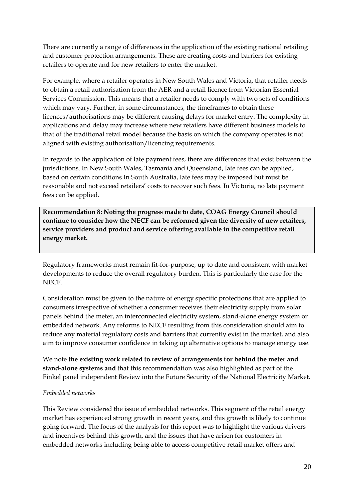There are currently a range of differences in the application of the existing national retailing and customer protection arrangements. These are creating costs and barriers for existing retailers to operate and for new retailers to enter the market.

For example, where a retailer operates in New South Wales and Victoria, that retailer needs to obtain a retail authorisation from the AER and a retail licence from Victorian Essential Services Commission. This means that a retailer needs to comply with two sets of conditions which may vary. Further, in some circumstances, the timeframes to obtain these licences/authorisations may be different causing delays for market entry. The complexity in applications and delay may increase where new retailers have different business models to that of the traditional retail model because the basis on which the company operates is not aligned with existing authorisation/licencing requirements.

In regards to the application of late payment fees, there are differences that exist between the jurisdictions. In New South Wales, Tasmania and Queensland, late fees can be applied, based on certain conditions In South Australia, late fees may be imposed but must be reasonable and not exceed retailers' costs to recover such fees. In Victoria, no late payment fees can be applied.

**Recommendation 8: Noting the progress made to date, COAG Energy Council should continue to consider how the NECF can be reformed given the diversity of new retailers, service providers and product and service offering available in the competitive retail energy market.** 

Regulatory frameworks must remain fit-for-purpose, up to date and consistent with market developments to reduce the overall regulatory burden. This is particularly the case for the NECF.

Consideration must be given to the nature of energy specific protections that are applied to consumers irrespective of whether a consumer receives their electricity supply from solar panels behind the meter, an interconnected electricity system, stand-alone energy system or embedded network. Any reforms to NECF resulting from this consideration should aim to reduce any material regulatory costs and barriers that currently exist in the market, and also aim to improve consumer confidence in taking up alternative options to manage energy use.

We note **the existing work related to review of arrangements for behind the meter and stand-alone systems and** that this recommendation was also highlighted as part of the Finkel panel independent Review into the Future Security of the National Electricity Market.

#### *Embedded networks*

This Review considered the issue of embedded networks. This segment of the retail energy market has experienced strong growth in recent years, and this growth is likely to continue going forward. The focus of the analysis for this report was to highlight the various drivers and incentives behind this growth, and the issues that have arisen for customers in embedded networks including being able to access competitive retail market offers and